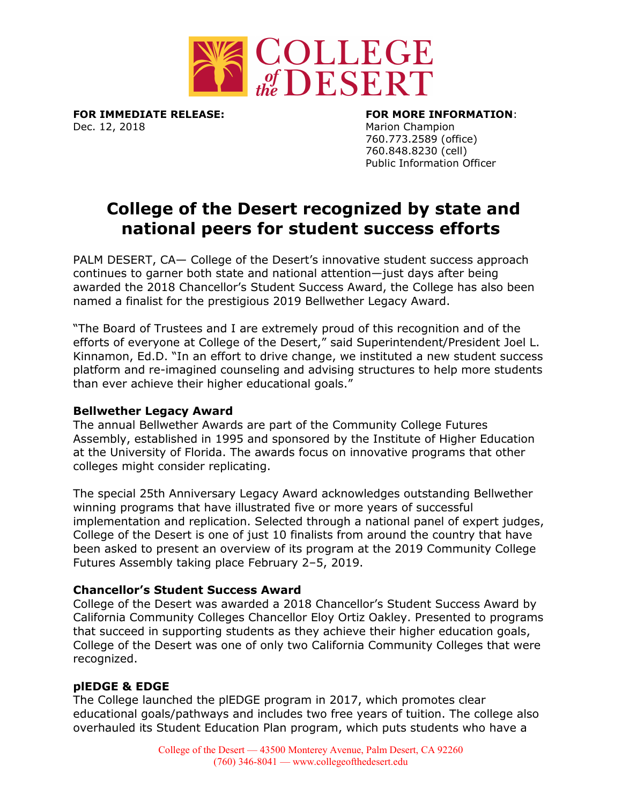

**FOR IMMEDIATE RELEASE: FOR MORE INFORMATION**: Dec. 12, 2018 Marion Champion

760.773.2589 (office) 760.848.8230 (cell) Public Information Officer

# **College of the Desert recognized by state and national peers for student success efforts**

PALM DESERT, CA— College of the Desert's innovative student success approach continues to garner both state and national attention—just days after being awarded the 2018 Chancellor's Student Success Award, the College has also been named a finalist for the prestigious 2019 Bellwether Legacy Award.

"The Board of Trustees and I are extremely proud of this recognition and of the efforts of everyone at College of the Desert," said Superintendent/President Joel L. Kinnamon, Ed.D. "In an effort to drive change, we instituted a new student success platform and re-imagined counseling and advising structures to help more students than ever achieve their higher educational goals."

## **Bellwether Legacy Award**

The annual Bellwether Awards are part of the Community College Futures Assembly, established in 1995 and sponsored by the Institute of Higher Education at the University of Florida. The awards focus on innovative programs that other colleges might consider replicating.

The special 25th Anniversary Legacy Award acknowledges outstanding Bellwether winning programs that have illustrated five or more years of successful implementation and replication. Selected through a national panel of expert judges, College of the Desert is one of just 10 finalists from around the country that have been asked to present an overview of its program at the 2019 Community College Futures Assembly taking place February 2–5, 2019.

## **Chancellor's Student Success Award**

College of the Desert was awarded a 2018 Chancellor's Student Success Award by California Community Colleges Chancellor Eloy Ortiz Oakley. Presented to programs that succeed in supporting students as they achieve their higher education goals, College of the Desert was one of only two California Community Colleges that were recognized.

## **plEDGE & EDGE**

The College launched the plEDGE program in 2017, which promotes clear educational goals/pathways and includes two free years of tuition. The college also overhauled its Student Education Plan program, which puts students who have a